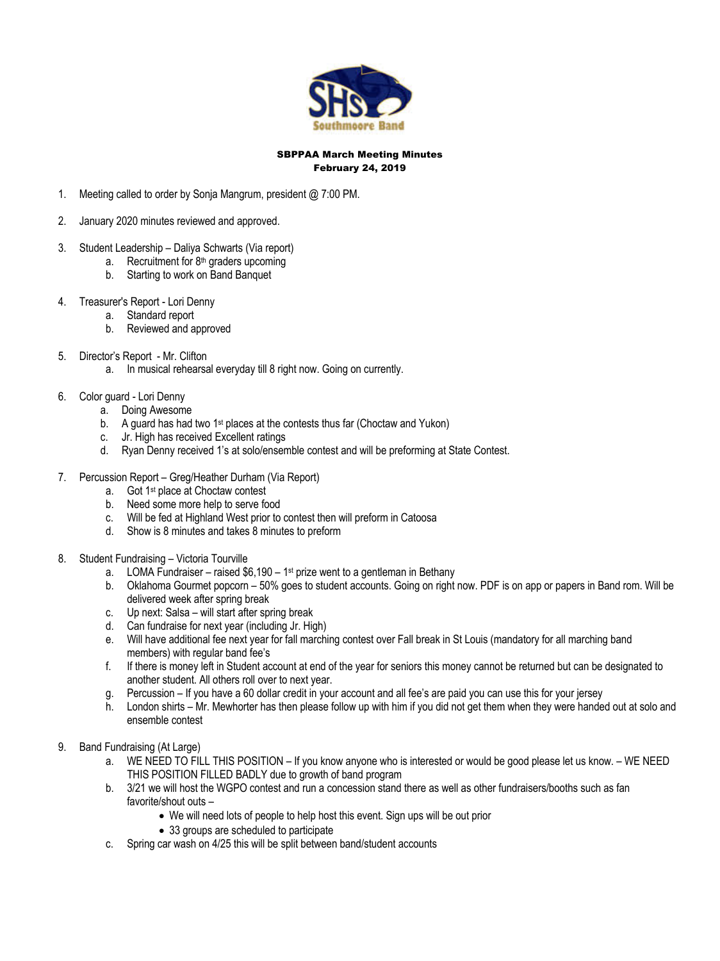

#### SBPPAA March Meeting Minutes February 24, 2019

- 1. Meeting called to order by Sonja Mangrum, president @ 7:00 PM.
- 2. January 2020 minutes reviewed and approved.
- 3. Student Leadership Daliya Schwarts (Via report)
	- a. Recruitment for 8<sup>th</sup> graders upcoming
	- b. Starting to work on Band Banquet
- 4. Treasurer's Report Lori Denny
	- a. Standard report
		- b. Reviewed and approved
- 5. Director's Report Mr. Clifton
	- a. In musical rehearsal everyday till 8 right now. Going on currently.

## 6. Color guard - Lori Denny

- a. Doing Awesome
- b. A guard has had two 1<sup>st</sup> places at the contests thus far (Choctaw and Yukon)
- c. Jr. High has received Excellent ratings
- d. Ryan Denny received 1's at solo/ensemble contest and will be preforming at State Contest.
- 7. Percussion Report Greg/Heather Durham (Via Report)
	- a. Got 1st place at Choctaw contest
	- b. Need some more help to serve food
	- c. Will be fed at Highland West prior to contest then will preform in Catoosa
	- d. Show is 8 minutes and takes 8 minutes to preform
- 8. Student Fundraising Victoria Tourville
	- a. LOMA Fundraiser raised  $$6,190 1$ <sup>st</sup> prize went to a gentleman in Bethany
	- b. Oklahoma Gourmet popcorn 50% goes to student accounts. Going on right now. PDF is on app or papers in Band rom. Will be delivered week after spring break
	- c. Up next: Salsa will start after spring break
	- d. Can fundraise for next year (including Jr. High)
	- e. Will have additional fee next year for fall marching contest over Fall break in St Louis (mandatory for all marching band members) with regular band fee's
	- f. If there is money left in Student account at end of the year for seniors this money cannot be returned but can be designated to another student. All others roll over to next year.
	- g. Percussion If you have a 60 dollar credit in your account and all fee's are paid you can use this for your jersey
	- h. London shirts Mr. Mewhorter has then please follow up with him if you did not get them when they were handed out at solo and ensemble contest
- 9. Band Fundraising (At Large)
	- a. WE NEED TO FILL THIS POSITION If you know anyone who is interested or would be good please let us know. WE NEED THIS POSITION FILLED BADLY due to growth of band program
	- b. 3/21 we will host the WGPO contest and run a concession stand there as well as other fundraisers/booths such as fan favorite/shout outs –
		- We will need lots of people to help host this event. Sign ups will be out prior
		- 33 groups are scheduled to participate
	- c. Spring car wash on 4/25 this will be split between band/student accounts